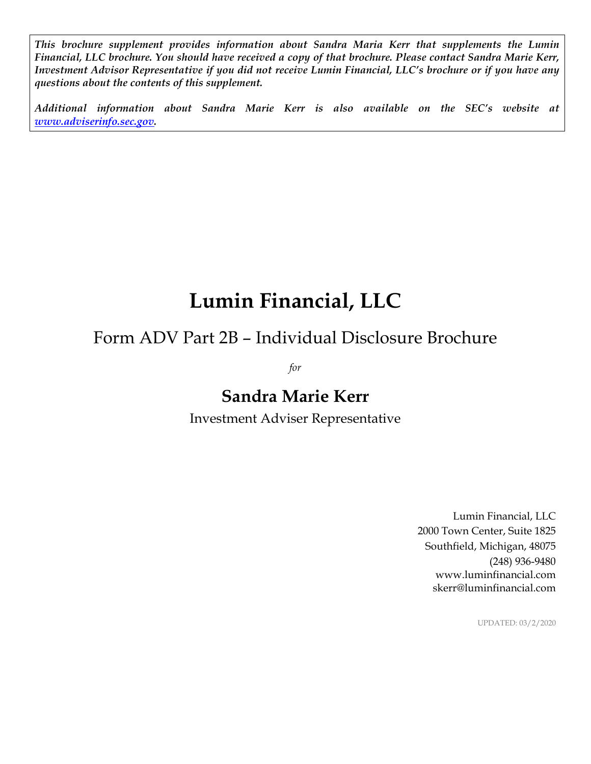*This brochure supplement provides information about Sandra Maria Kerr that supplements the Lumin Financial, LLC brochure. You should have received a copy of that brochure. Please contact Sandra Marie Kerr, Investment Advisor Representative if you did not receive Lumin Financial, LLC's brochure or if you have any questions about the contents of this supplement.* 

*Additional information about Sandra Marie Kerr is also available on the SEC's website at www.adviserinfo.sec.gov.* 

# **Lumin Financial, LLC**

# Form ADV Part 2B – Individual Disclosure Brochure

*for* 

# **Sandra Marie Kerr**

Investment Adviser Representative

Lumin Financial, LLC 2000 Town Center, Suite 1825 Southfield, Michigan, 48075 (248) 936-9480 www.luminfinancial.com skerr@luminfinancial.com

UPDATED: 03/2/2020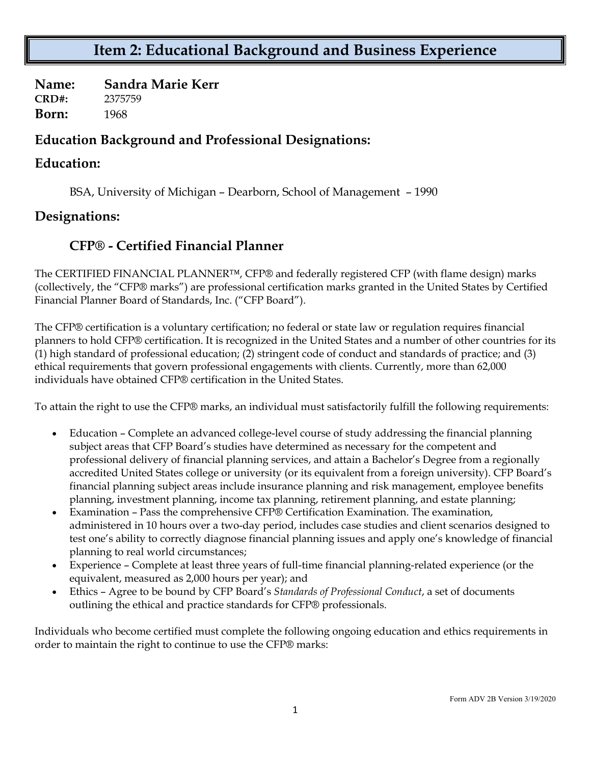## **Item 2: Educational Background and Business Experience**

**Name: Sandra Marie Kerr CRD#:** 2375759 **Born:** 1968

#### **Education Background and Professional Designations:**

#### **Education:**

BSA, University of Michigan – Dearborn, School of Management – 1990

#### **Designations:**

#### **CFP® - Certified Financial Planner**

The CERTIFIED FINANCIAL PLANNER™, CFP® and federally registered CFP (with flame design) marks (collectively, the "CFP® marks") are professional certification marks granted in the United States by Certified Financial Planner Board of Standards, Inc. ("CFP Board").

The CFP® certification is a voluntary certification; no federal or state law or regulation requires financial planners to hold CFP® certification. It is recognized in the United States and a number of other countries for its (1) high standard of professional education; (2) stringent code of conduct and standards of practice; and (3) ethical requirements that govern professional engagements with clients. Currently, more than 62,000 individuals have obtained CFP® certification in the United States.

To attain the right to use the CFP® marks, an individual must satisfactorily fulfill the following requirements:

- Education Complete an advanced college-level course of study addressing the financial planning subject areas that CFP Board's studies have determined as necessary for the competent and professional delivery of financial planning services, and attain a Bachelor's Degree from a regionally accredited United States college or university (or its equivalent from a foreign university). CFP Board's financial planning subject areas include insurance planning and risk management, employee benefits planning, investment planning, income tax planning, retirement planning, and estate planning;
- Examination Pass the comprehensive CFP® Certification Examination. The examination, administered in 10 hours over a two-day period, includes case studies and client scenarios designed to test one's ability to correctly diagnose financial planning issues and apply one's knowledge of financial planning to real world circumstances;
- Experience Complete at least three years of full-time financial planning-related experience (or the equivalent, measured as 2,000 hours per year); and
- Ethics Agree to be bound by CFP Board's *Standards of Professional Conduct*, a set of documents outlining the ethical and practice standards for CFP® professionals.

Individuals who become certified must complete the following ongoing education and ethics requirements in order to maintain the right to continue to use the CFP® marks: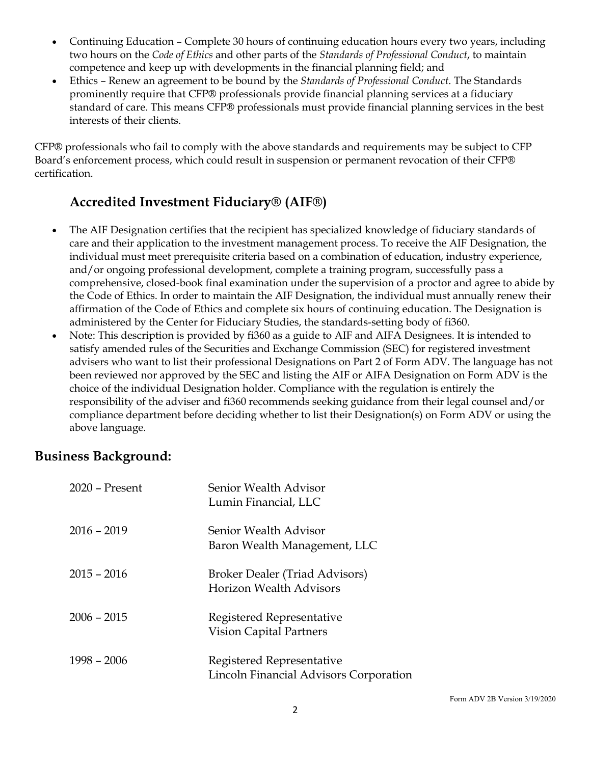- Continuing Education Complete 30 hours of continuing education hours every two years, including two hours on the *Code of Ethics* and other parts of the *Standards of Professional Conduct*, to maintain competence and keep up with developments in the financial planning field; and
- Ethics Renew an agreement to be bound by the *Standards of Professional Conduct*. The Standards prominently require that CFP® professionals provide financial planning services at a fiduciary standard of care. This means CFP® professionals must provide financial planning services in the best interests of their clients.

CFP® professionals who fail to comply with the above standards and requirements may be subject to CFP Board's enforcement process, which could result in suspension or permanent revocation of their CFP® certification.

#### **Accredited Investment Fiduciary® (AIF®)**

- The AIF Designation certifies that the recipient has specialized knowledge of fiduciary standards of care and their application to the investment management process. To receive the AIF Designation, the individual must meet prerequisite criteria based on a combination of education, industry experience, and/or ongoing professional development, complete a training program, successfully pass a comprehensive, closed-book final examination under the supervision of a proctor and agree to abide by the Code of Ethics. In order to maintain the AIF Designation, the individual must annually renew their affirmation of the Code of Ethics and complete six hours of continuing education. The Designation is administered by the Center for Fiduciary Studies, the standards-setting body of fi360.
- Note: This description is provided by fi360 as a guide to AIF and AIFA Designees. It is intended to satisfy amended rules of the Securities and Exchange Commission (SEC) for registered investment advisers who want to list their professional Designations on Part 2 of Form ADV. The language has not been reviewed nor approved by the SEC and listing the AIF or AIFA Designation on Form ADV is the choice of the individual Designation holder. Compliance with the regulation is entirely the responsibility of the adviser and fi360 recommends seeking guidance from their legal counsel and/or compliance department before deciding whether to list their Designation(s) on Form ADV or using the above language.

#### **Business Background:**

| $2020$ – Present | Senior Wealth Advisor<br>Lumin Financial, LLC                       |
|------------------|---------------------------------------------------------------------|
| $2016 - 2019$    | Senior Wealth Advisor<br>Baron Wealth Management, LLC               |
| $2015 - 2016$    | Broker Dealer (Triad Advisors)<br><b>Horizon Wealth Advisors</b>    |
| $2006 - 2015$    | Registered Representative<br>Vision Capital Partners                |
| $1998 - 2006$    | Registered Representative<br>Lincoln Financial Advisors Corporation |